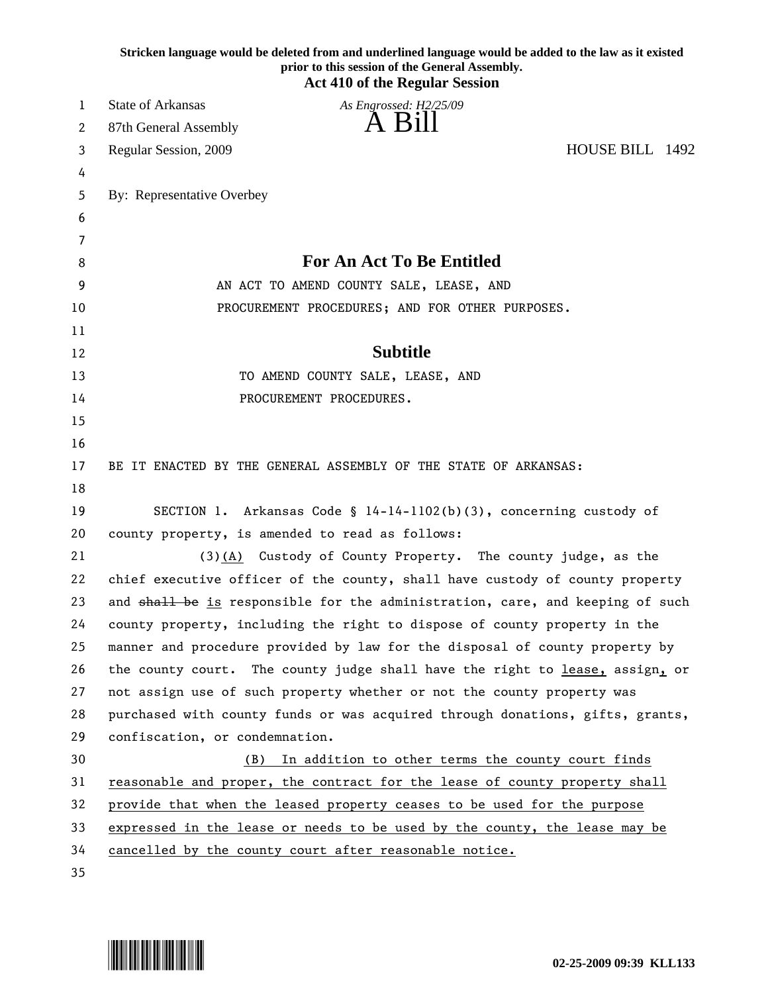|    | Stricken language would be deleted from and underlined language would be added to the law as it existed<br>prior to this session of the General Assembly.<br><b>Act 410 of the Regular Session</b> |
|----|----------------------------------------------------------------------------------------------------------------------------------------------------------------------------------------------------|
| 1  | State of Arkansas<br>As Engrossed: H2/25/09                                                                                                                                                        |
| 2  | A Bill<br>87th General Assembly                                                                                                                                                                    |
| 3  | HOUSE BILL 1492<br>Regular Session, 2009                                                                                                                                                           |
| 4  |                                                                                                                                                                                                    |
| 5  | By: Representative Overbey                                                                                                                                                                         |
| 6  |                                                                                                                                                                                                    |
| 7  |                                                                                                                                                                                                    |
| 8  | <b>For An Act To Be Entitled</b>                                                                                                                                                                   |
| 9  | AN ACT TO AMEND COUNTY SALE, LEASE, AND                                                                                                                                                            |
| 10 | PROCUREMENT PROCEDURES; AND FOR OTHER PURPOSES.                                                                                                                                                    |
| 11 |                                                                                                                                                                                                    |
| 12 | <b>Subtitle</b>                                                                                                                                                                                    |
| 13 | TO AMEND COUNTY SALE, LEASE, AND                                                                                                                                                                   |
| 14 | PROCUREMENT PROCEDURES.                                                                                                                                                                            |
| 15 |                                                                                                                                                                                                    |
| 16 |                                                                                                                                                                                                    |
| 17 | BE IT ENACTED BY THE GENERAL ASSEMBLY OF THE STATE OF ARKANSAS:                                                                                                                                    |
| 18 |                                                                                                                                                                                                    |
| 19 | SECTION 1. Arkansas Code § 14-14-1102(b)(3), concerning custody of                                                                                                                                 |
| 20 | county property, is amended to read as follows:                                                                                                                                                    |
| 21 | (3)(A) Custody of County Property. The county judge, as the                                                                                                                                        |
| 22 | chief executive officer of the county, shall have custody of county property                                                                                                                       |
| 23 | and shall be is responsible for the administration, care, and keeping of such                                                                                                                      |
| 24 | county property, including the right to dispose of county property in the                                                                                                                          |
| 25 | manner and procedure provided by law for the disposal of county property by                                                                                                                        |
| 26 | the county court. The county judge shall have the right to lease, assign, or                                                                                                                       |
| 27 | not assign use of such property whether or not the county property was                                                                                                                             |
| 28 | purchased with county funds or was acquired through donations, gifts, grants,                                                                                                                      |
| 29 | confiscation, or condemnation.                                                                                                                                                                     |
| 30 | (B) In addition to other terms the county court finds                                                                                                                                              |
| 31 | reasonable and proper, the contract for the lease of county property shall                                                                                                                         |
| 32 | provide that when the leased property ceases to be used for the purpose                                                                                                                            |
| 33 | expressed in the lease or needs to be used by the county, the lease may be                                                                                                                         |
| 34 | cancelled by the county court after reasonable notice.                                                                                                                                             |
| 35 |                                                                                                                                                                                                    |

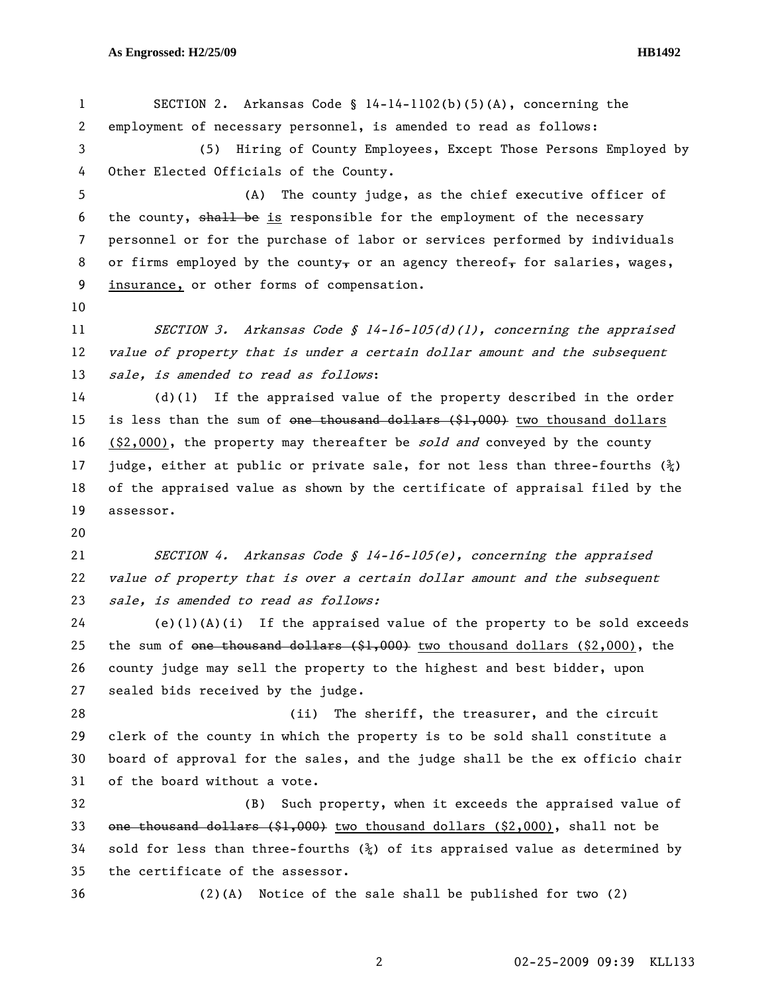1 SECTION 2. Arkansas Code § 14-14-1102(b)(5)(A), concerning the 2 employment of necessary personnel, is amended to read as follows: 3 (5) Hiring of County Employees, Except Those Persons Employed by 4 Other Elected Officials of the County. 5 (A) The county judge, as the chief executive officer of 6 the county, shall be is responsible for the employment of the necessary 7 personnel or for the purchase of labor or services performed by individuals 8 or firms employed by the county, or an agency thereof, for salaries, wages, 9 insurance, or other forms of compensation. 10 11 SECTION 3. Arkansas Code § 14-16-105(d)(1), concerning the appraised 12 value of property that is under a certain dollar amount and the subsequent 13 sale, is amended to read as follows: 14 (d)(1) If the appraised value of the property described in the order 15 is less than the sum of <del>one thousand dollars (\$1,000)</del> two thousand dollars 16 (\$2,000), the property may thereafter be sold and conveyed by the county 17 judge, either at public or private sale, for not less than three-fourths  $(\frac{5}{4})$ 18 of the appraised value as shown by the certificate of appraisal filed by the 19 assessor. 20 21 SECTION 4. Arkansas Code § 14-16-105(e), concerning the appraised 22 value of property that is over a certain dollar amount and the subsequent 23 sale, is amended to read as follows: 24 (e)(1)(A)(i) If the appraised value of the property to be sold exceeds 25 the sum of one thousand dollars (\$1,000) two thousand dollars (\$2,000), the 26 county judge may sell the property to the highest and best bidder, upon 27 sealed bids received by the judge. 28 (ii) The sheriff, the treasurer, and the circuit 29 clerk of the county in which the property is to be sold shall constitute a 30 board of approval for the sales, and the judge shall be the ex officio chair 31 of the board without a vote. 32 (B) Such property, when it exceeds the appraised value of 33 one thousand dollars (\$1,000) two thousand dollars (\$2,000), shall not be 34 sold for less than three-fourths  $(\frac{3}{2})$  of its appraised value as determined by 35 the certificate of the assessor. 36 (2)(A) Notice of the sale shall be published for two (2)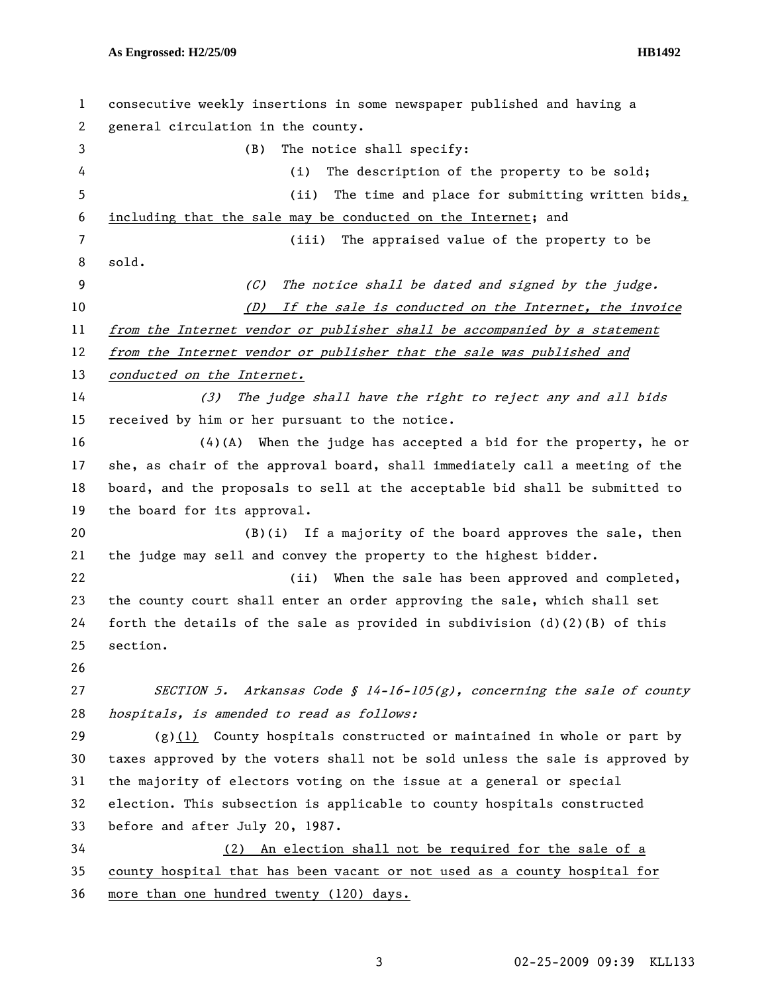| 1  | consecutive weekly insertions in some newspaper published and having a        |
|----|-------------------------------------------------------------------------------|
| 2  | general circulation in the county.                                            |
| 3  | The notice shall specify:<br>(B)                                              |
| 4  | (i)<br>The description of the property to be sold;                            |
| 5  | (ii)<br>The time and place for submitting written bids,                       |
| 6  | including that the sale may be conducted on the Internet; and                 |
| 7  | The appraised value of the property to be<br>(iii)                            |
| 8  | sold.                                                                         |
| 9  | (C)<br>The notice shall be dated and signed by the judge.                     |
| 10 | If the sale is conducted on the Internet, the invoice<br>(D)                  |
| 11 | from the Internet vendor or publisher shall be accompanied by a statement     |
| 12 | from the Internet vendor or publisher that the sale was published and         |
| 13 | conducted on the Internet.                                                    |
| 14 | The judge shall have the right to reject any and all bids<br>(3)              |
| 15 | received by him or her pursuant to the notice.                                |
| 16 | $(4)(A)$ When the judge has accepted a bid for the property, he or            |
| 17 | she, as chair of the approval board, shall immediately call a meeting of the  |
| 18 | board, and the proposals to sell at the acceptable bid shall be submitted to  |
| 19 | the board for its approval.                                                   |
| 20 | $(B)(i)$ If a majority of the board approves the sale, then                   |
| 21 | the judge may sell and convey the property to the highest bidder.             |
| 22 | When the sale has been approved and completed,<br>(ii)                        |
| 23 | the county court shall enter an order approving the sale, which shall set     |
| 24 | forth the details of the sale as provided in subdivision $(d)(2)(B)$ of this  |
| 25 | section.                                                                      |
| 26 |                                                                               |
| 27 | SECTION 5. Arkansas Code § 14-16-105(g), concerning the sale of county        |
| 28 | hospitals, is amended to read as follows:                                     |
| 29 | $(g)(1)$ County hospitals constructed or maintained in whole or part by       |
| 30 | taxes approved by the voters shall not be sold unless the sale is approved by |
| 31 | the majority of electors voting on the issue at a general or special          |
| 32 | election. This subsection is applicable to county hospitals constructed       |
| 33 | before and after July 20, 1987.                                               |
| 34 | (2) An election shall not be required for the sale of a                       |
| 35 | county hospital that has been vacant or not used as a county hospital for     |
| 36 | more than one hundred twenty (120) days.                                      |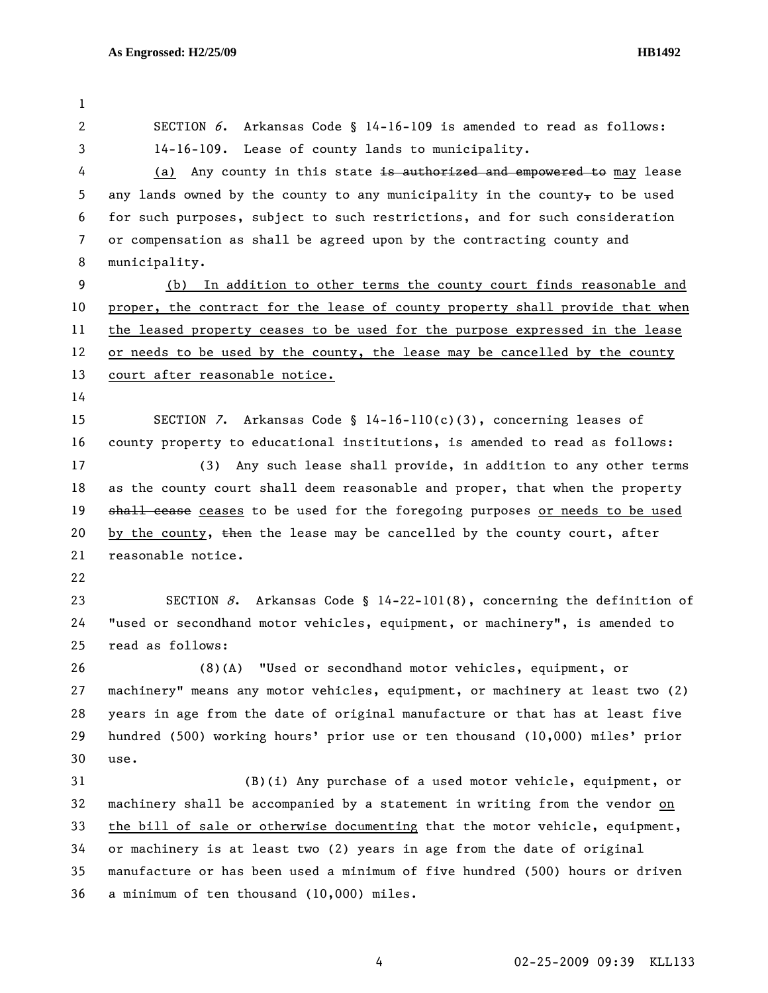1 2 SECTION 6. Arkansas Code § 14-16-109 is amended to read as follows: 3 14-16-109. Lease of county lands to municipality. 4 (a) Any county in this state is authorized and empowered to may lease 5 any lands owned by the county to any municipality in the county $_{\rm T}$  to be used 6 for such purposes, subject to such restrictions, and for such consideration 7 or compensation as shall be agreed upon by the contracting county and 8 municipality. 9 (b) In addition to other terms the county court finds reasonable and 10 proper, the contract for the lease of county property shall provide that when 11 the leased property ceases to be used for the purpose expressed in the lease 12 or needs to be used by the county, the lease may be cancelled by the county 13 court after reasonable notice. 14 15 SECTION 7. Arkansas Code § 14-16-110(c)(3), concerning leases of 16 county property to educational institutions, is amended to read as follows: 17 (3) Any such lease shall provide, in addition to any other terms 18 as the county court shall deem reasonable and proper, that when the property 19 shall cease ceases to be used for the foregoing purposes or needs to be used 20 by the county, then the lease may be cancelled by the county court, after 21 reasonable notice. 22 23 SECTION 8. Arkansas Code § 14-22-101(8), concerning the definition of 24 "used or secondhand motor vehicles, equipment, or machinery", is amended to 25 read as follows: 26 (8)(A) "Used or secondhand motor vehicles, equipment, or 27 machinery" means any motor vehicles, equipment, or machinery at least two (2) 28 years in age from the date of original manufacture or that has at least five 29 hundred (500) working hours' prior use or ten thousand (10,000) miles' prior 30 use. 31 (B)(i) Any purchase of a used motor vehicle, equipment, or 32 machinery shall be accompanied by a statement in writing from the vendor on 33 the bill of sale or otherwise documenting that the motor vehicle, equipment, 34 or machinery is at least two (2) years in age from the date of original 35 manufacture or has been used a minimum of five hundred (500) hours or driven 36 a minimum of ten thousand (10,000) miles.